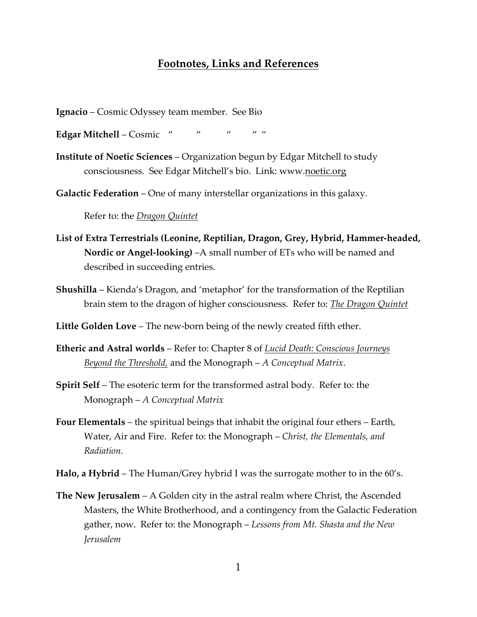## **Footnotes, Links and References**

- **Ignacio** Cosmic Odyssey team member. See Bio
- **Edgar Mitchell** Cosmic " " " " " "
- **Institute of Noetic Sciences** Organization begun by Edgar Mitchell to study consciousness. See Edgar Mitchell's bio. Link: www.noetic.org
- **Galactic Federation** One of many interstellar organizations in this galaxy.

Refer to: the *Dragon Quintet*

- **List of Extra Terrestrials (Leonine, Reptilian, Dragon, Grey, Hybrid, Hammer-headed, Nordic or Angel-looking)** –A small number of ETs who will be named and described in succeeding entries.
- **Shushilla** Kienda's Dragon, and 'metaphor' for the transformation of the Reptilian brain stem to the dragon of higher consciousness. Refer to: *The Dragon Quintet*

**Little Golden Love** – The new-born being of the newly created fifth ether.

- **Etheric and Astral worlds** Refer to: Chapter 8 of *Lucid Death: Conscious Journeys Beyond the Threshold,* and the Monograph – *A Conceptual Matrix*.
- **Spirit Self** The esoteric term for the transformed astral body. Refer to: the Monograph – *A Conceptual Matrix*
- **Four Elementals** the spiritual beings that inhabit the original four ethers Earth, Water, Air and Fire. Refer to: the Monograph – *Christ, the Elementals, and Radiation.*
- **Halo, a Hybrid** The Human/Grey hybrid I was the surrogate mother to in the 60's.
- **The New Jerusalem** A Golden city in the astral realm where Christ, the Ascended Masters, the White Brotherhood, and a contingency from the Galactic Federation gather, now. Refer to: the Monograph – *Lessons from Mt. Shasta and the New Jerusalem*